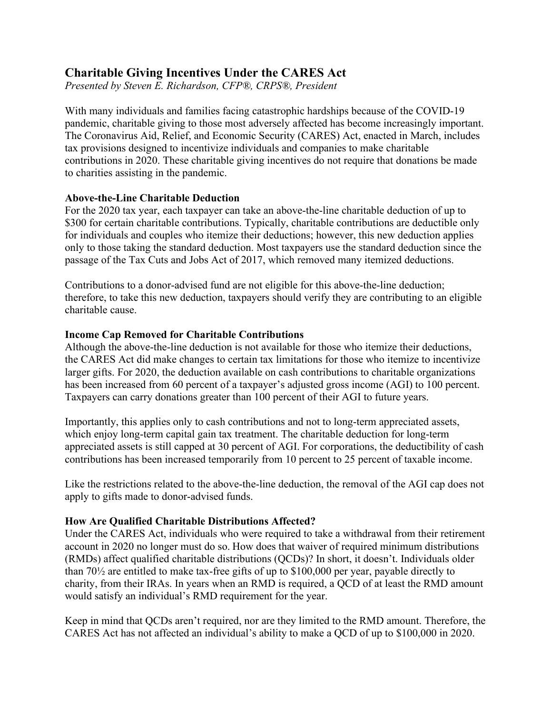# **Charitable Giving Incentives Under the CARES Act**

*Presented by Steven E. Richardson, CFP®, CRPS®, President*

With many individuals and families facing catastrophic hardships because of the COVID-19 pandemic, charitable giving to those most adversely affected has become increasingly important. The Coronavirus Aid, Relief, and Economic Security (CARES) Act, enacted in March, includes tax provisions designed to incentivize individuals and companies to make charitable contributions in 2020. These charitable giving incentives do not require that donations be made to charities assisting in the pandemic.

# **Above-the-Line Charitable Deduction**

For the 2020 tax year, each taxpayer can take an above-the-line charitable deduction of up to \$300 for certain charitable contributions. Typically, charitable contributions are deductible only for individuals and couples who itemize their deductions; however, this new deduction applies only to those taking the standard deduction. Most taxpayers use the standard deduction since the passage of the Tax Cuts and Jobs Act of 2017, which removed many itemized deductions.

Contributions to a donor-advised fund are not eligible for this above-the-line deduction; therefore, to take this new deduction, taxpayers should verify they are contributing to an eligible charitable cause.

# **Income Cap Removed for Charitable Contributions**

Although the above-the-line deduction is not available for those who itemize their deductions, the CARES Act did make changes to certain tax limitations for those who itemize to incentivize larger gifts. For 2020, the deduction available on cash contributions to charitable organizations has been increased from 60 percent of a taxpayer's adjusted gross income (AGI) to 100 percent. Taxpayers can carry donations greater than 100 percent of their AGI to future years.

Importantly, this applies only to cash contributions and not to long-term appreciated assets, which enjoy long-term capital gain tax treatment. The charitable deduction for long-term appreciated assets is still capped at 30 percent of AGI. For corporations, the deductibility of cash contributions has been increased temporarily from 10 percent to 25 percent of taxable income.

Like the restrictions related to the above-the-line deduction, the removal of the AGI cap does not apply to gifts made to donor-advised funds.

### **How Are Qualified Charitable Distributions Affected?**

Under the CARES Act, individuals who were required to take a withdrawal from their retirement account in 2020 no longer must do so. How does that waiver of required minimum distributions (RMDs) affect qualified charitable distributions (QCDs)? In short, it doesn't. Individuals older than 70½ are entitled to make tax-free gifts of up to \$100,000 per year, payable directly to charity, from their IRAs. In years when an RMD is required, a QCD of at least the RMD amount would satisfy an individual's RMD requirement for the year.

Keep in mind that QCDs aren't required, nor are they limited to the RMD amount. Therefore, the CARES Act has not affected an individual's ability to make a QCD of up to \$100,000 in 2020.